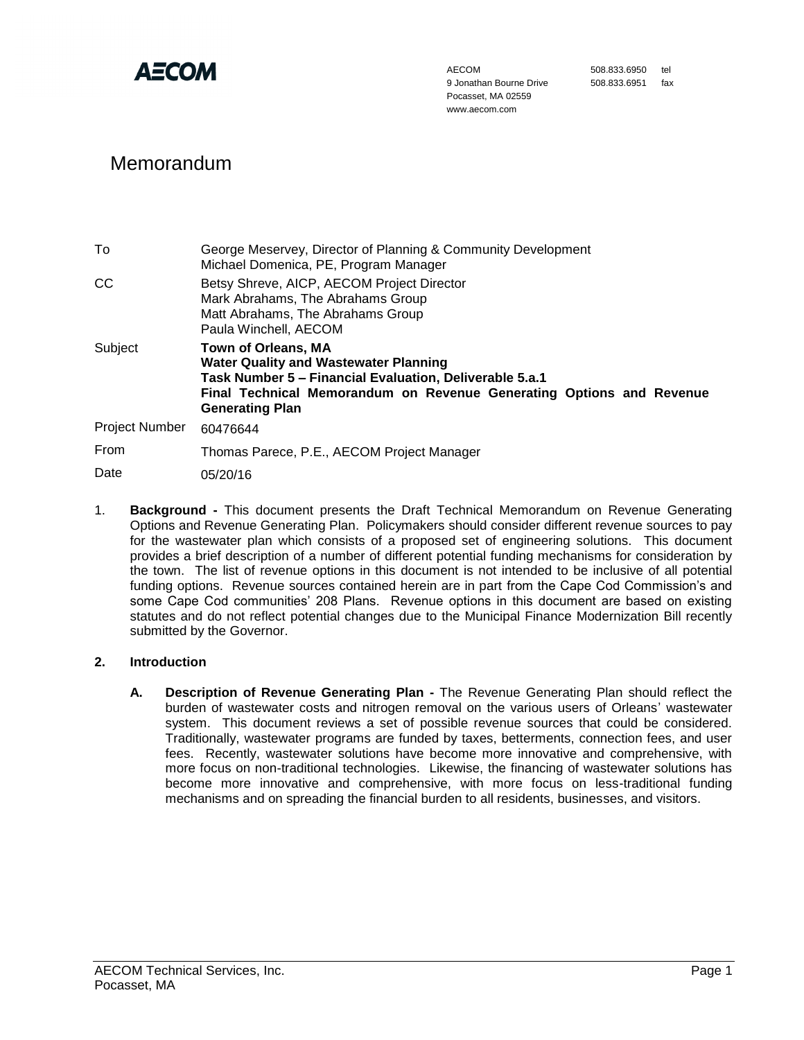

AECOM 9 Jonathan Bourne Drive Pocasset, MA 02559 www.aecom.com

508.833.6950 tel 508.833.6951 fax

# Memorandum

| To             | George Meservey, Director of Planning & Community Development<br>Michael Domenica, PE, Program Manager                                                                                                                                  |
|----------------|-----------------------------------------------------------------------------------------------------------------------------------------------------------------------------------------------------------------------------------------|
| CC             | Betsy Shreve, AICP, AECOM Project Director<br>Mark Abrahams, The Abrahams Group<br>Matt Abrahams, The Abrahams Group<br>Paula Winchell, AECOM                                                                                           |
| Subject        | <b>Town of Orleans, MA</b><br><b>Water Quality and Wastewater Planning</b><br>Task Number 5 – Financial Evaluation, Deliverable 5.a.1<br>Final Technical Memorandum on Revenue Generating Options and Revenue<br><b>Generating Plan</b> |
| Project Number | 60476644                                                                                                                                                                                                                                |
| From           | Thomas Parece, P.E., AECOM Project Manager                                                                                                                                                                                              |
| Date           | 05/20/16                                                                                                                                                                                                                                |

1. **Background -** This document presents the Draft Technical Memorandum on Revenue Generating Options and Revenue Generating Plan. Policymakers should consider different revenue sources to pay for the wastewater plan which consists of a proposed set of engineering solutions. This document provides a brief description of a number of different potential funding mechanisms for consideration by the town. The list of revenue options in this document is not intended to be inclusive of all potential funding options. Revenue sources contained herein are in part from the Cape Cod Commission's and some Cape Cod communities' 208 Plans. Revenue options in this document are based on existing statutes and do not reflect potential changes due to the Municipal Finance Modernization Bill recently submitted by the Governor.

# **2. Introduction**

**A. Description of Revenue Generating Plan -** The Revenue Generating Plan should reflect the burden of wastewater costs and nitrogen removal on the various users of Orleans' wastewater system. This document reviews a set of possible revenue sources that could be considered. Traditionally, wastewater programs are funded by taxes, betterments, connection fees, and user fees. Recently, wastewater solutions have become more innovative and comprehensive, with more focus on non-traditional technologies. Likewise, the financing of wastewater solutions has become more innovative and comprehensive, with more focus on less-traditional funding mechanisms and on spreading the financial burden to all residents, businesses, and visitors.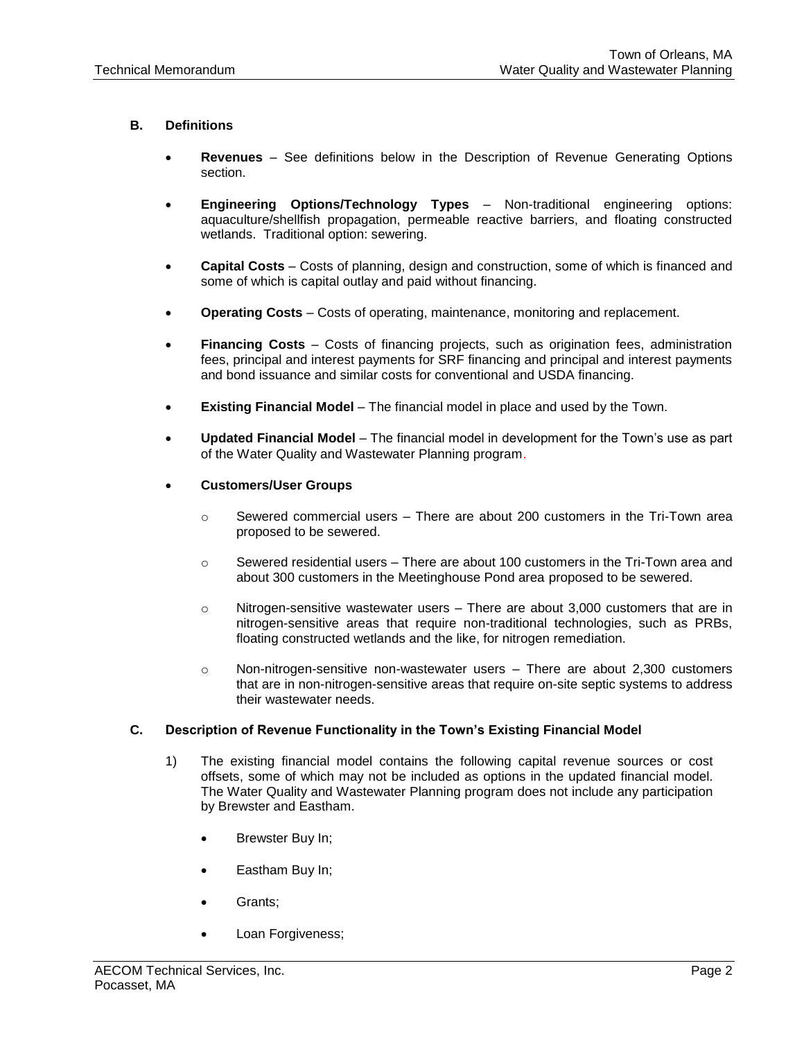# **B. Definitions**

- **Revenues** See definitions below in the Description of Revenue Generating Options section.
- **Engineering Options/Technology Types** Non-traditional engineering options: aquaculture/shellfish propagation, permeable reactive barriers, and floating constructed wetlands. Traditional option: sewering.
- **Capital Costs** Costs of planning, design and construction, some of which is financed and some of which is capital outlay and paid without financing.
- **Operating Costs** Costs of operating, maintenance, monitoring and replacement.
- **Financing Costs** Costs of financing projects, such as origination fees, administration fees, principal and interest payments for SRF financing and principal and interest payments and bond issuance and similar costs for conventional and USDA financing.
- **Existing Financial Model** The financial model in place and used by the Town.
- **Updated Financial Model** The financial model in development for the Town's use as part of the Water Quality and Wastewater Planning program.
- **Customers/User Groups**
	- $\circ$  Sewered commercial users There are about 200 customers in the Tri-Town area proposed to be sewered.
	- $\circ$  Sewered residential users There are about 100 customers in the Tri-Town area and about 300 customers in the Meetinghouse Pond area proposed to be sewered.
	- $\circ$  Nitrogen-sensitive wastewater users There are about 3,000 customers that are in nitrogen-sensitive areas that require non-traditional technologies, such as PRBs, floating constructed wetlands and the like, for nitrogen remediation.
	- o Non-nitrogen-sensitive non-wastewater users There are about 2,300 customers that are in non-nitrogen-sensitive areas that require on-site septic systems to address their wastewater needs.

# **C. Description of Revenue Functionality in the Town's Existing Financial Model**

- 1) The existing financial model contains the following capital revenue sources or cost offsets, some of which may not be included as options in the updated financial model. The Water Quality and Wastewater Planning program does not include any participation by Brewster and Eastham.
	- Brewster Buy In;
	- Eastham Buy In;
	- Grants;
	- Loan Forgiveness;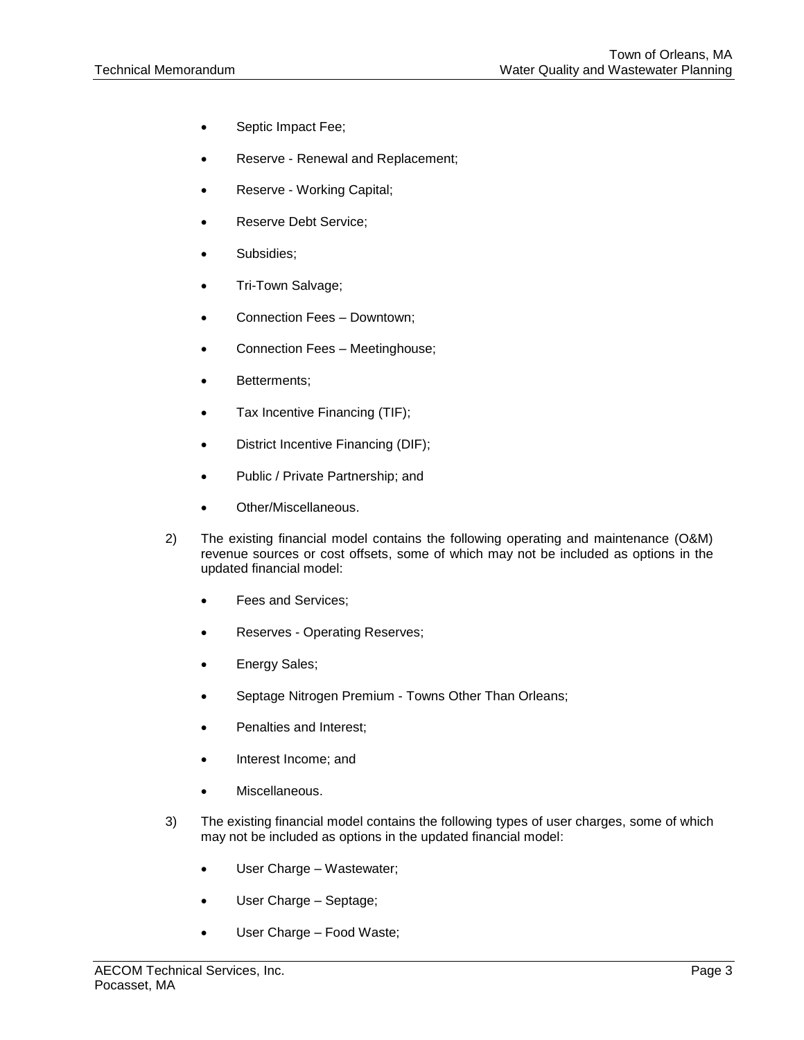- Septic Impact Fee;
- Reserve Renewal and Replacement;
- Reserve Working Capital;
- Reserve Debt Service;
- Subsidies;
- Tri-Town Salvage;
- Connection Fees Downtown;
- Connection Fees Meetinghouse;
- Betterments;
- Tax Incentive Financing (TIF);
- District Incentive Financing (DIF);
- Public / Private Partnership; and
- Other/Miscellaneous.
- 2) The existing financial model contains the following operating and maintenance (O&M) revenue sources or cost offsets, some of which may not be included as options in the updated financial model:
	- Fees and Services;
	- Reserves Operating Reserves;
	- Energy Sales;
	- Septage Nitrogen Premium Towns Other Than Orleans;
	- Penalties and Interest;
	- Interest Income; and
	- Miscellaneous.
- 3) The existing financial model contains the following types of user charges, some of which may not be included as options in the updated financial model:
	- User Charge Wastewater;
	- User Charge Septage;
	- User Charge Food Waste;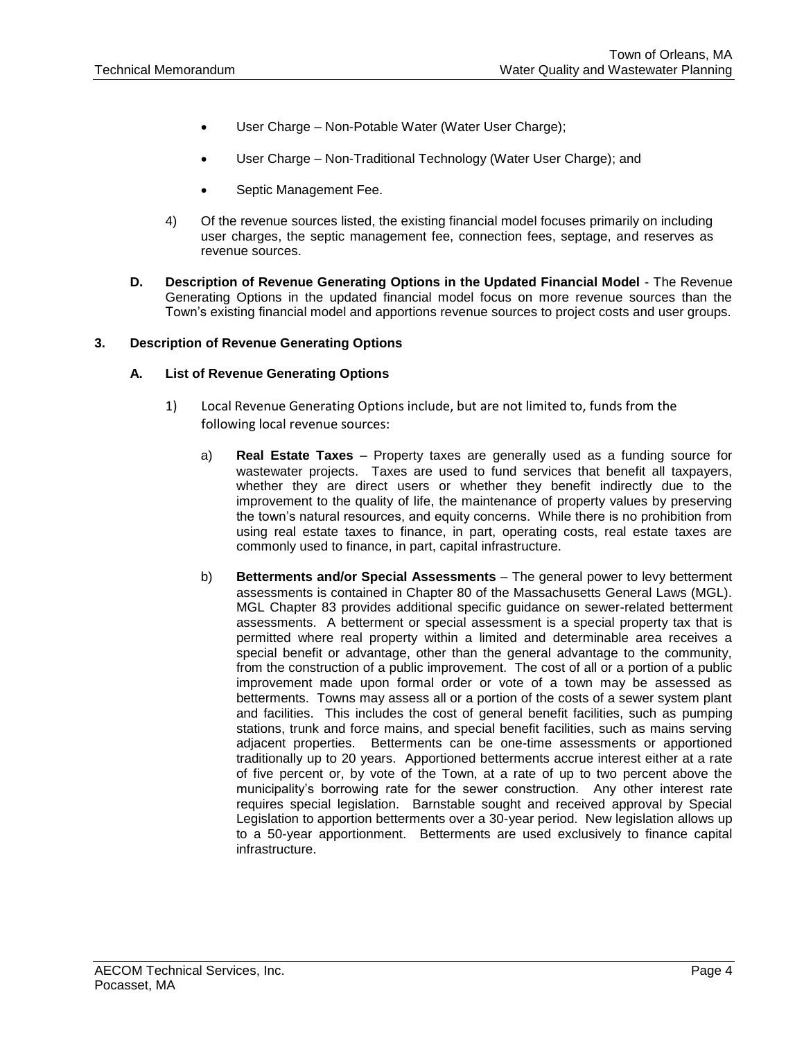- User Charge Non-Potable Water (Water User Charge);
- User Charge Non-Traditional Technology (Water User Charge); and
- Septic Management Fee.
- 4) Of the revenue sources listed, the existing financial model focuses primarily on including user charges, the septic management fee, connection fees, septage, and reserves as revenue sources.
- **D. Description of Revenue Generating Options in the Updated Financial Model** The Revenue Generating Options in the updated financial model focus on more revenue sources than the Town's existing financial model and apportions revenue sources to project costs and user groups.

#### **3. Description of Revenue Generating Options**

#### **A. List of Revenue Generating Options**

- 1) Local Revenue Generating Options include, but are not limited to, funds from the following local revenue sources:
	- a) **Real Estate Taxes** Property taxes are generally used as a funding source for wastewater projects. Taxes are used to fund services that benefit all taxpayers, whether they are direct users or whether they benefit indirectly due to the improvement to the quality of life, the maintenance of property values by preserving the town's natural resources, and equity concerns. While there is no prohibition from using real estate taxes to finance, in part, operating costs, real estate taxes are commonly used to finance, in part, capital infrastructure.
	- b) **Betterments and/or Special Assessments** The general power to levy betterment assessments is contained in Chapter 80 of the Massachusetts General Laws (MGL). MGL Chapter 83 provides additional specific guidance on sewer-related betterment assessments. A betterment or special assessment is a special property tax that is permitted where real property within a limited and determinable area receives a special benefit or advantage, other than the general advantage to the community, from the construction of a public improvement. The cost of all or a portion of a public improvement made upon formal order or vote of a town may be assessed as betterments. Towns may assess all or a portion of the costs of a sewer system plant and facilities. This includes the cost of general benefit facilities, such as pumping stations, trunk and force mains, and special benefit facilities, such as mains serving adjacent properties. Betterments can be one-time assessments or apportioned traditionally up to 20 years. Apportioned betterments accrue interest either at a rate of five percent or, by vote of the Town, at a rate of up to two percent above the municipality's borrowing rate for the sewer construction. Any other interest rate requires special legislation. Barnstable sought and received approval by Special Legislation to apportion betterments over a 30-year period. New legislation allows up to a 50-year apportionment. Betterments are used exclusively to finance capital infrastructure.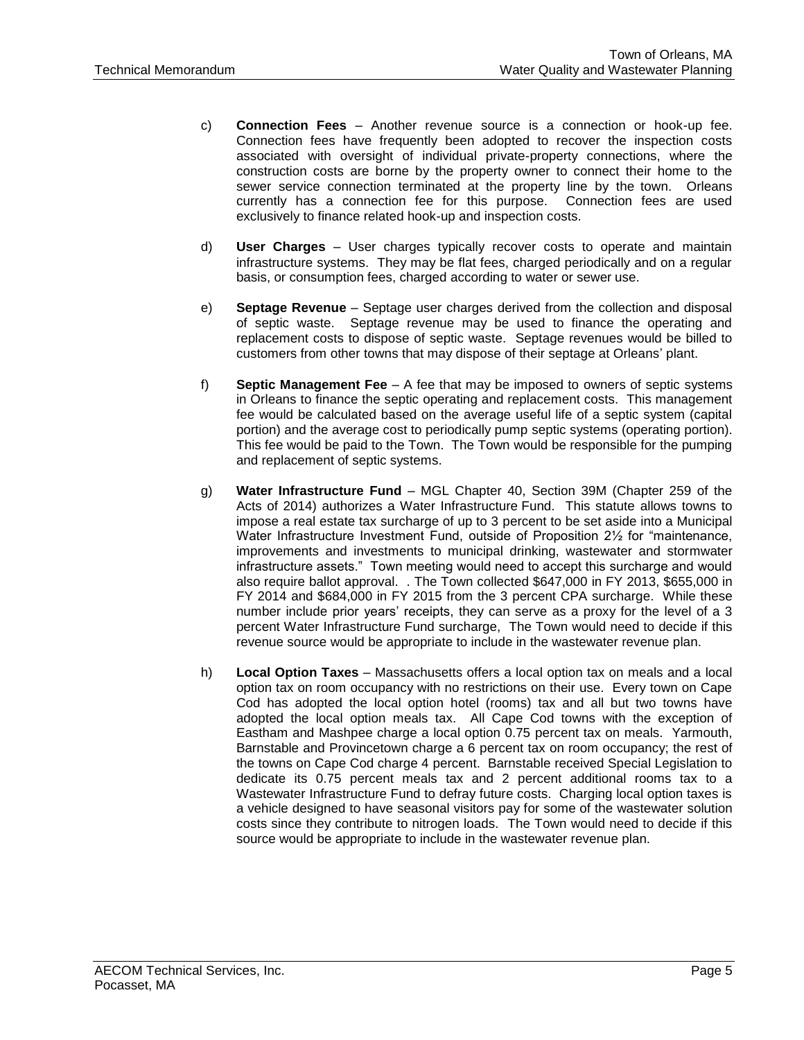- c) **Connection Fees** Another revenue source is a connection or hook-up fee. Connection fees have frequently been adopted to recover the inspection costs associated with oversight of individual private-property connections, where the construction costs are borne by the property owner to connect their home to the sewer service connection terminated at the property line by the town. Orleans currently has a connection fee for this purpose. Connection fees are used exclusively to finance related hook-up and inspection costs.
- d) **User Charges** User charges typically recover costs to operate and maintain infrastructure systems. They may be flat fees, charged periodically and on a regular basis, or consumption fees, charged according to water or sewer use.
- e) **Septage Revenue** Septage user charges derived from the collection and disposal of septic waste. Septage revenue may be used to finance the operating and replacement costs to dispose of septic waste. Septage revenues would be billed to customers from other towns that may dispose of their septage at Orleans' plant.
- f) **Septic Management Fee** A fee that may be imposed to owners of septic systems in Orleans to finance the septic operating and replacement costs. This management fee would be calculated based on the average useful life of a septic system (capital portion) and the average cost to periodically pump septic systems (operating portion). This fee would be paid to the Town. The Town would be responsible for the pumping and replacement of septic systems.
- g) **Water Infrastructure Fund** MGL Chapter 40, Section 39M (Chapter 259 of the Acts of 2014) authorizes a Water Infrastructure Fund. This statute allows towns to impose a real estate tax surcharge of up to 3 percent to be set aside into a Municipal Water Infrastructure Investment Fund, outside of Proposition 21/2 for "maintenance, improvements and investments to municipal drinking, wastewater and stormwater infrastructure assets." Town meeting would need to accept this surcharge and would also require ballot approval. . The Town collected \$647,000 in FY 2013, \$655,000 in FY 2014 and \$684,000 in FY 2015 from the 3 percent CPA surcharge. While these number include prior years' receipts, they can serve as a proxy for the level of a 3 percent Water Infrastructure Fund surcharge, The Town would need to decide if this revenue source would be appropriate to include in the wastewater revenue plan.
- h) **Local Option Taxes** Massachusetts offers a local option tax on meals and a local option tax on room occupancy with no restrictions on their use. Every town on Cape Cod has adopted the local option hotel (rooms) tax and all but two towns have adopted the local option meals tax. All Cape Cod towns with the exception of Eastham and Mashpee charge a local option 0.75 percent tax on meals. Yarmouth, Barnstable and Provincetown charge a 6 percent tax on room occupancy; the rest of the towns on Cape Cod charge 4 percent. Barnstable received Special Legislation to dedicate its 0.75 percent meals tax and 2 percent additional rooms tax to a Wastewater Infrastructure Fund to defray future costs. Charging local option taxes is a vehicle designed to have seasonal visitors pay for some of the wastewater solution costs since they contribute to nitrogen loads. The Town would need to decide if this source would be appropriate to include in the wastewater revenue plan.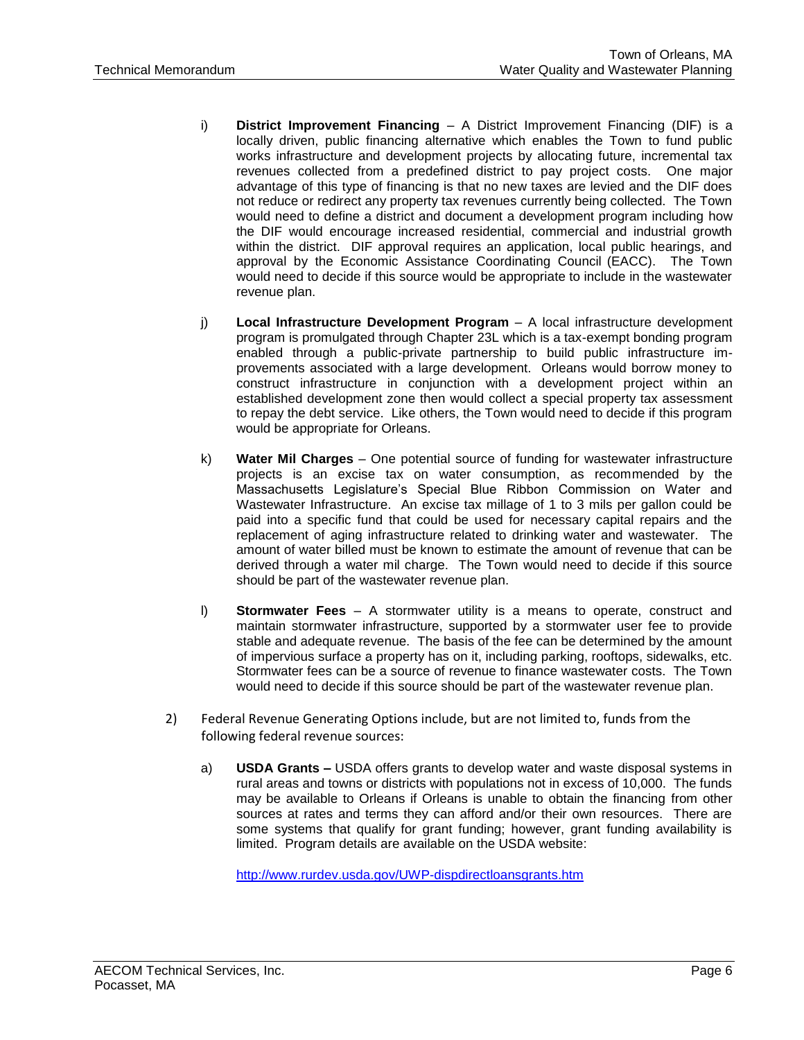- i) **District Improvement Financing** A District Improvement Financing (DIF) is a locally driven, public financing alternative which enables the Town to fund public works infrastructure and development projects by allocating future, incremental tax revenues collected from a predefined district to pay project costs. One major advantage of this type of financing is that no new taxes are levied and the DIF does not reduce or redirect any property tax revenues currently being collected. The Town would need to define a district and document a development program including how the DIF would encourage increased residential, commercial and industrial growth within the district. DIF approval requires an application, local public hearings, and approval by the Economic Assistance Coordinating Council (EACC). The Town would need to decide if this source would be appropriate to include in the wastewater revenue plan.
- j) **Local Infrastructure Development Program** A local infrastructure development program is promulgated through Chapter 23L which is a tax-exempt bonding program enabled through a public-private partnership to build public infrastructure improvements associated with a large development. Orleans would borrow money to construct infrastructure in conjunction with a development project within an established development zone then would collect a special property tax assessment to repay the debt service. Like others, the Town would need to decide if this program would be appropriate for Orleans.
- k) **Water Mil Charges**  One potential source of funding for wastewater infrastructure projects is an excise tax on water consumption, as recommended by the Massachusetts Legislature's Special Blue Ribbon Commission on Water and Wastewater Infrastructure. An excise tax millage of 1 to 3 mils per gallon could be paid into a specific fund that could be used for necessary capital repairs and the replacement of aging infrastructure related to drinking water and wastewater. The amount of water billed must be known to estimate the amount of revenue that can be derived through a water mil charge. The Town would need to decide if this source should be part of the wastewater revenue plan.
- l) **Stormwater Fees**  A stormwater utility is a means to operate, construct and maintain stormwater infrastructure, supported by a stormwater user fee to provide stable and adequate revenue. The basis of the fee can be determined by the amount of impervious surface a property has on it, including parking, rooftops, sidewalks, etc. Stormwater fees can be a source of revenue to finance wastewater costs. The Town would need to decide if this source should be part of the wastewater revenue plan.
- 2) Federal Revenue Generating Options include, but are not limited to, funds from the following federal revenue sources:
	- a) **USDA Grants –** USDA offers grants to develop water and waste disposal systems in rural areas and towns or districts with populations not in excess of 10,000. The funds may be available to Orleans if Orleans is unable to obtain the financing from other sources at rates and terms they can afford and/or their own resources. There are some systems that qualify for grant funding; however, grant funding availability is limited. Program details are available on the USDA website:

<http://www.rurdev.usda.gov/UWP-dispdirectloansgrants.htm>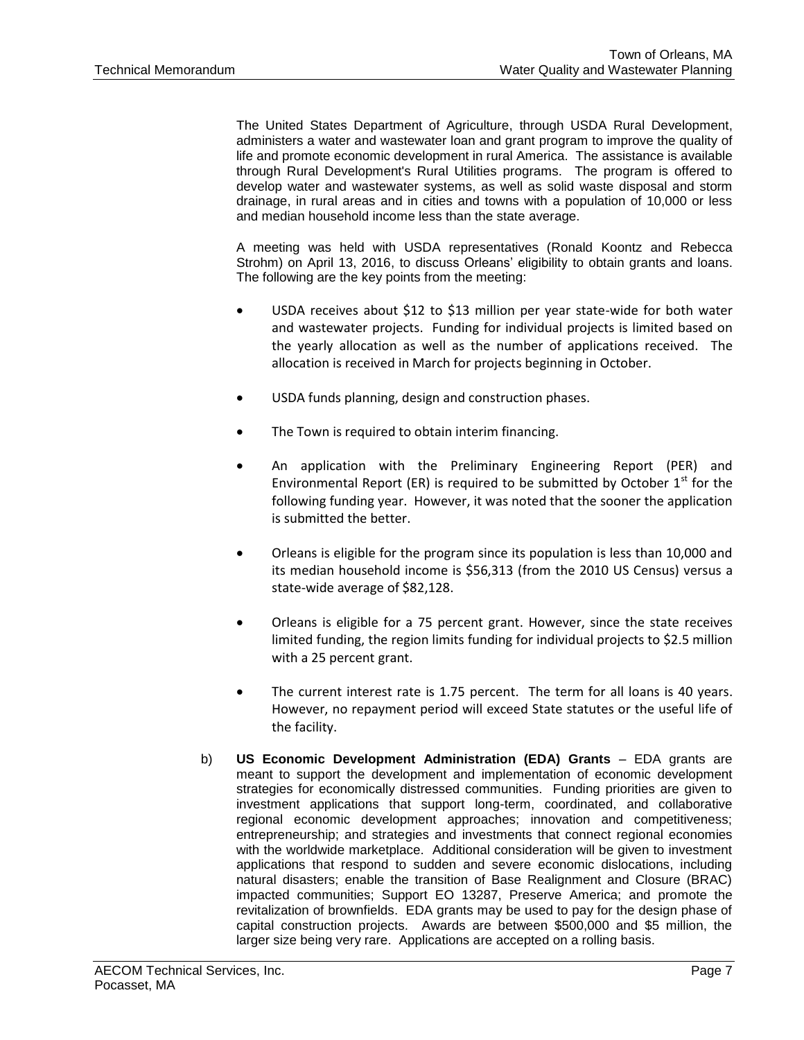The United States Department of Agriculture, through USDA Rural Development, administers a water and wastewater loan and grant program to improve the quality of life and promote economic development in rural America. The assistance is available through Rural Development's Rural Utilities programs. The program is offered to develop water and wastewater systems, as well as solid waste disposal and storm drainage, in rural areas and in cities and towns with a population of 10,000 or less and median household income less than the state average.

A meeting was held with USDA representatives (Ronald Koontz and Rebecca Strohm) on April 13, 2016, to discuss Orleans' eligibility to obtain grants and loans. The following are the key points from the meeting:

- USDA receives about \$12 to \$13 million per year state-wide for both water and wastewater projects. Funding for individual projects is limited based on the yearly allocation as well as the number of applications received. The allocation is received in March for projects beginning in October.
- USDA funds planning, design and construction phases.
- The Town is required to obtain interim financing.
- An application with the Preliminary Engineering Report (PER) and Environmental Report (ER) is required to be submitted by October  $1<sup>st</sup>$  for the following funding year. However, it was noted that the sooner the application is submitted the better.
- Orleans is eligible for the program since its population is less than 10,000 and its median household income is \$56,313 (from the 2010 US Census) versus a state-wide average of \$82,128.
- Orleans is eligible for a 75 percent grant. However, since the state receives limited funding, the region limits funding for individual projects to \$2.5 million with a 25 percent grant.
- The current interest rate is 1.75 percent. The term for all loans is 40 years. However, no repayment period will exceed State statutes or the useful life of the facility.
- b) **US Economic Development Administration (EDA) Grants** EDA grants are meant to support the development and implementation of economic development strategies for economically distressed communities. Funding priorities are given to investment applications that support long-term, coordinated, and collaborative regional economic development approaches; innovation and competitiveness; entrepreneurship; and strategies and investments that connect regional economies with the worldwide marketplace. Additional consideration will be given to investment applications that respond to sudden and severe economic dislocations, including natural disasters; enable the transition of Base Realignment and Closure (BRAC) impacted communities; Support EO 13287, Preserve America; and promote the revitalization of brownfields. EDA grants may be used to pay for the design phase of capital construction projects. Awards are between \$500,000 and \$5 million, the larger size being very rare. Applications are accepted on a rolling basis.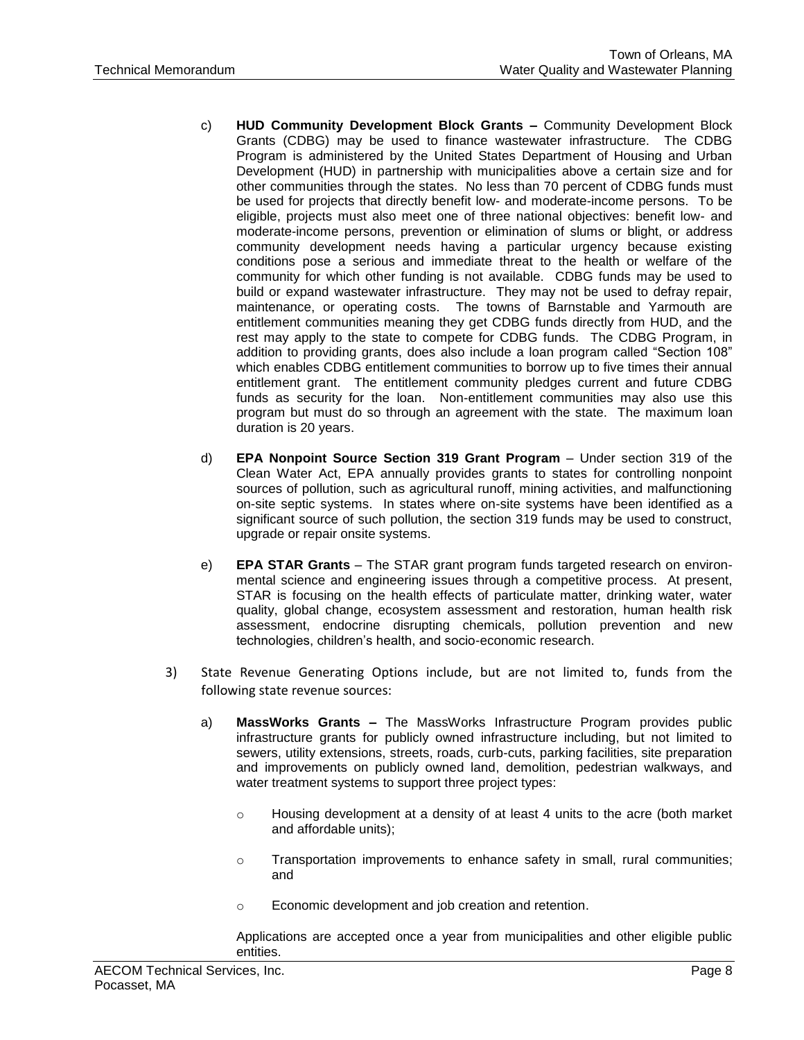- c) **HUD Community Development Block Grants –** Community Development Block Grants (CDBG) may be used to finance wastewater infrastructure. The CDBG Program is administered by the United States Department of Housing and Urban Development (HUD) in partnership with municipalities above a certain size and for other communities through the states. No less than 70 percent of CDBG funds must be used for projects that directly benefit low- and moderate-income persons. To be eligible, projects must also meet one of three national objectives: benefit low- and moderate-income persons, prevention or elimination of slums or blight, or address community development needs having a particular urgency because existing conditions pose a serious and immediate threat to the health or welfare of the community for which other funding is not available. CDBG funds may be used to build or expand wastewater infrastructure. They may not be used to defray repair, maintenance, or operating costs. The towns of Barnstable and Yarmouth are entitlement communities meaning they get CDBG funds directly from HUD, and the rest may apply to the state to compete for CDBG funds. The CDBG Program, in addition to providing grants, does also include a loan program called "Section 108" which enables CDBG entitlement communities to borrow up to five times their annual entitlement grant. The entitlement community pledges current and future CDBG funds as security for the loan. Non-entitlement communities may also use this program but must do so through an agreement with the state. The maximum loan duration is 20 years.
- d) **EPA Nonpoint Source Section 319 Grant Program** Under section 319 of the Clean Water Act, EPA annually provides grants to states for controlling nonpoint sources of pollution, such as agricultural runoff, mining activities, and malfunctioning on-site septic systems. In states where on-site systems have been identified as a significant source of such pollution, the section 319 funds may be used to construct, upgrade or repair onsite systems.
- e) **EPA STAR Grants** The STAR grant program funds targeted research on environmental science and engineering issues through a competitive process. At present, STAR is focusing on the health effects of particulate matter, drinking water, water quality, global change, ecosystem assessment and restoration, human health risk assessment, endocrine disrupting chemicals, pollution prevention and new technologies, children's health, and socio-economic research.
- 3) State Revenue Generating Options include, but are not limited to, funds from the following state revenue sources:
	- a) **MassWorks Grants –** The MassWorks Infrastructure Program provides public infrastructure grants for publicly owned infrastructure including, but not limited to sewers, utility extensions, streets, roads, curb-cuts, parking facilities, site preparation and improvements on publicly owned land, demolition, pedestrian walkways, and water treatment systems to support three project types:
		- o Housing development at a density of at least 4 units to the acre (both market and affordable units);
		- o Transportation improvements to enhance safety in small, rural communities; and
		- o Economic development and job creation and retention.

Applications are accepted once a year from municipalities and other eligible public entities.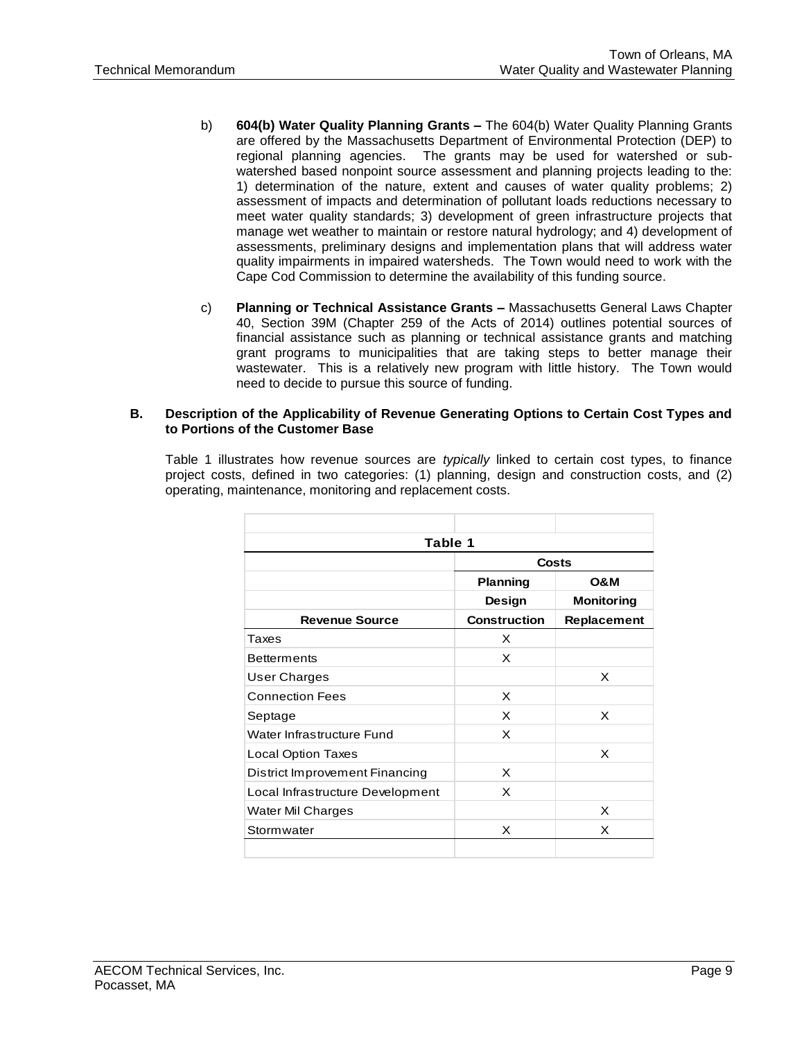- b) **604(b) Water Quality Planning Grants –** The 604(b) Water Quality Planning Grants are offered by the Massachusetts Department of Environmental Protection (DEP) to regional planning agencies. The grants may be used for watershed or subwatershed based nonpoint source assessment and planning projects leading to the: 1) determination of the nature, extent and causes of water quality problems; 2) assessment of impacts and determination of pollutant loads reductions necessary to meet water quality standards; 3) development of green infrastructure projects that manage wet weather to maintain or restore natural hydrology; and 4) development of assessments, preliminary designs and implementation plans that will address water quality impairments in impaired watersheds. The Town would need to work with the Cape Cod Commission to determine the availability of this funding source.
- c) **Planning or Technical Assistance Grants –** Massachusetts General Laws Chapter 40, Section 39M (Chapter 259 of the Acts of 2014) outlines potential sources of financial assistance such as planning or technical assistance grants and matching grant programs to municipalities that are taking steps to better manage their wastewater. This is a relatively new program with little history. The Town would need to decide to pursue this source of funding.

#### **B. Description of the Applicability of Revenue Generating Options to Certain Cost Types and to Portions of the Customer Base**

Table 1 illustrates how revenue sources are *typically* linked to certain cost types, to finance project costs, defined in two categories: (1) planning, design and construction costs, and (2) operating, maintenance, monitoring and replacement costs.

| Table 1                          |                     |                   |  |  |  |  |  |
|----------------------------------|---------------------|-------------------|--|--|--|--|--|
|                                  | Costs               |                   |  |  |  |  |  |
|                                  | <b>Planning</b>     | <b>O&amp;M</b>    |  |  |  |  |  |
|                                  | Design              | <b>Monitoring</b> |  |  |  |  |  |
| <b>Revenue Source</b>            | <b>Construction</b> | Replacement       |  |  |  |  |  |
| Taxes                            | X                   |                   |  |  |  |  |  |
| <b>Betterments</b>               | X                   |                   |  |  |  |  |  |
| User Charges                     |                     | X                 |  |  |  |  |  |
| <b>Connection Fees</b>           | X                   |                   |  |  |  |  |  |
| Septage                          | X                   | X                 |  |  |  |  |  |
| Water Infrastructure Fund        | X                   |                   |  |  |  |  |  |
| <b>Local Option Taxes</b>        |                     | X                 |  |  |  |  |  |
| District Improvement Financing   | X                   |                   |  |  |  |  |  |
| Local Infrastructure Development | X                   |                   |  |  |  |  |  |
| Water Mil Charges                |                     | x                 |  |  |  |  |  |
| Stormwater                       | x                   | X                 |  |  |  |  |  |
|                                  |                     |                   |  |  |  |  |  |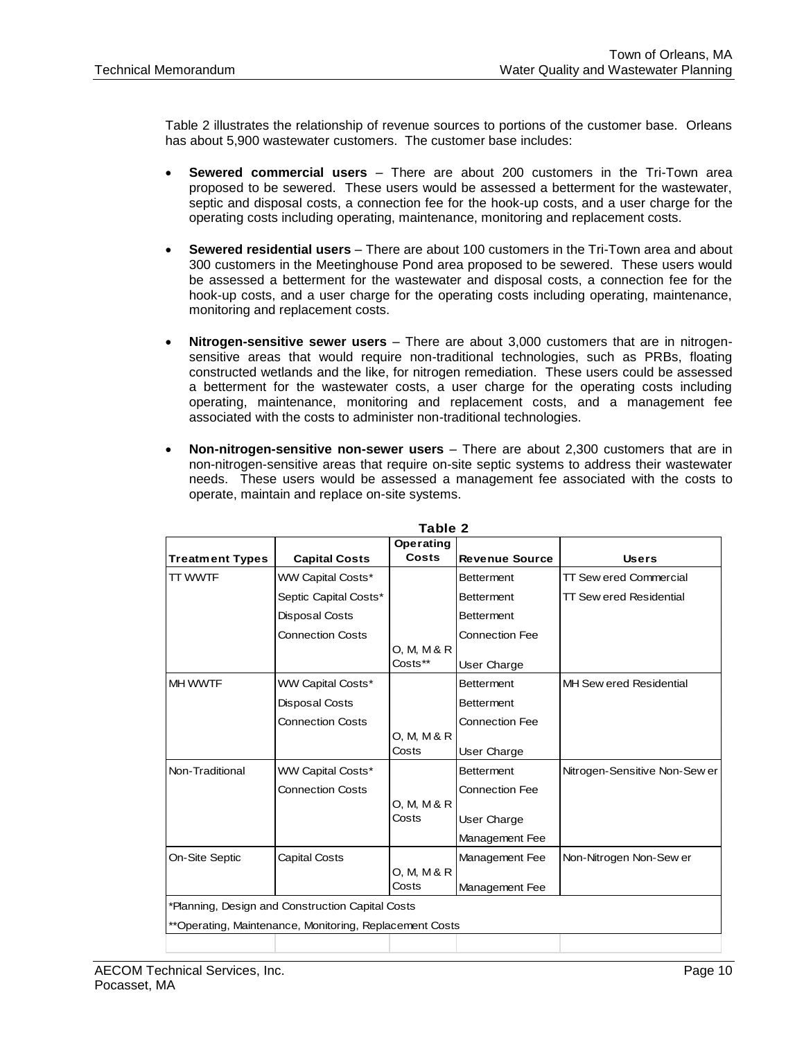Table 2 illustrates the relationship of revenue sources to portions of the customer base. Orleans has about 5,900 wastewater customers. The customer base includes:

- **Sewered commercial users** There are about 200 customers in the Tri-Town area proposed to be sewered. These users would be assessed a betterment for the wastewater, septic and disposal costs, a connection fee for the hook-up costs, and a user charge for the operating costs including operating, maintenance, monitoring and replacement costs.
- **Sewered residential users** There are about 100 customers in the Tri-Town area and about 300 customers in the Meetinghouse Pond area proposed to be sewered. These users would be assessed a betterment for the wastewater and disposal costs, a connection fee for the hook-up costs, and a user charge for the operating costs including operating, maintenance, monitoring and replacement costs.
- **Nitrogen-sensitive sewer users** There are about 3,000 customers that are in nitrogensensitive areas that would require non-traditional technologies, such as PRBs, floating constructed wetlands and the like, for nitrogen remediation. These users could be assessed a betterment for the wastewater costs, a user charge for the operating costs including operating, maintenance, monitoring and replacement costs, and a management fee associated with the costs to administer non-traditional technologies.
- **Non-nitrogen-sensitive non-sewer users** There are about 2,300 customers that are in non-nitrogen-sensitive areas that require on-site septic systems to address their wastewater needs. These users would be assessed a management fee associated with the costs to operate, maintain and replace on-site systems.

| Table 2                |                                                         |             |                       |                                |  |
|------------------------|---------------------------------------------------------|-------------|-----------------------|--------------------------------|--|
|                        |                                                         | Operating   |                       |                                |  |
| <b>Treatment Types</b> | <b>Capital Costs</b>                                    | Costs       | <b>Revenue Source</b> | <b>Users</b>                   |  |
| TT WWTF                | <b>WW Capital Costs*</b>                                |             | <b>Betterment</b>     | <b>TT Sew ered Commercial</b>  |  |
|                        | Septic Capital Costs*                                   |             | <b>Betterment</b>     | <b>TT Sew ered Residential</b> |  |
|                        | <b>Disposal Costs</b>                                   |             | <b>Betterment</b>     |                                |  |
|                        | <b>Connection Costs</b>                                 |             | <b>Connection Fee</b> |                                |  |
|                        |                                                         | 0. M. M & R |                       |                                |  |
|                        |                                                         | Costs**     | User Charge           |                                |  |
| <b>MH WWTF</b>         | <b>WW Capital Costs*</b>                                |             | <b>Betterment</b>     | MH Sew ered Residential        |  |
|                        | Disposal Costs                                          |             | <b>Betterment</b>     |                                |  |
|                        | <b>Connection Costs</b>                                 |             | <b>Connection Fee</b> |                                |  |
|                        |                                                         | 0, M, M & R |                       |                                |  |
|                        |                                                         | Costs       | User Charge           |                                |  |
| Non-Traditional        | WW Capital Costs*                                       |             | <b>Betterment</b>     | Nitrogen-Sensitive Non-Sew er  |  |
|                        | <b>Connection Costs</b>                                 |             | <b>Connection Fee</b> |                                |  |
|                        |                                                         | 0, M, M & R |                       |                                |  |
|                        |                                                         | Costs       | User Charge           |                                |  |
|                        |                                                         |             | Management Fee        |                                |  |
| On-Site Septic         | Capital Costs                                           |             | Management Fee        | Non-Nitrogen Non-Sew er        |  |
|                        |                                                         | 0, M, M & R |                       |                                |  |
|                        |                                                         | Costs       | Management Fee        |                                |  |
|                        | *Planning, Design and Construction Capital Costs        |             |                       |                                |  |
|                        | **Operating, Maintenance, Monitoring, Replacement Costs |             |                       |                                |  |
|                        |                                                         |             |                       |                                |  |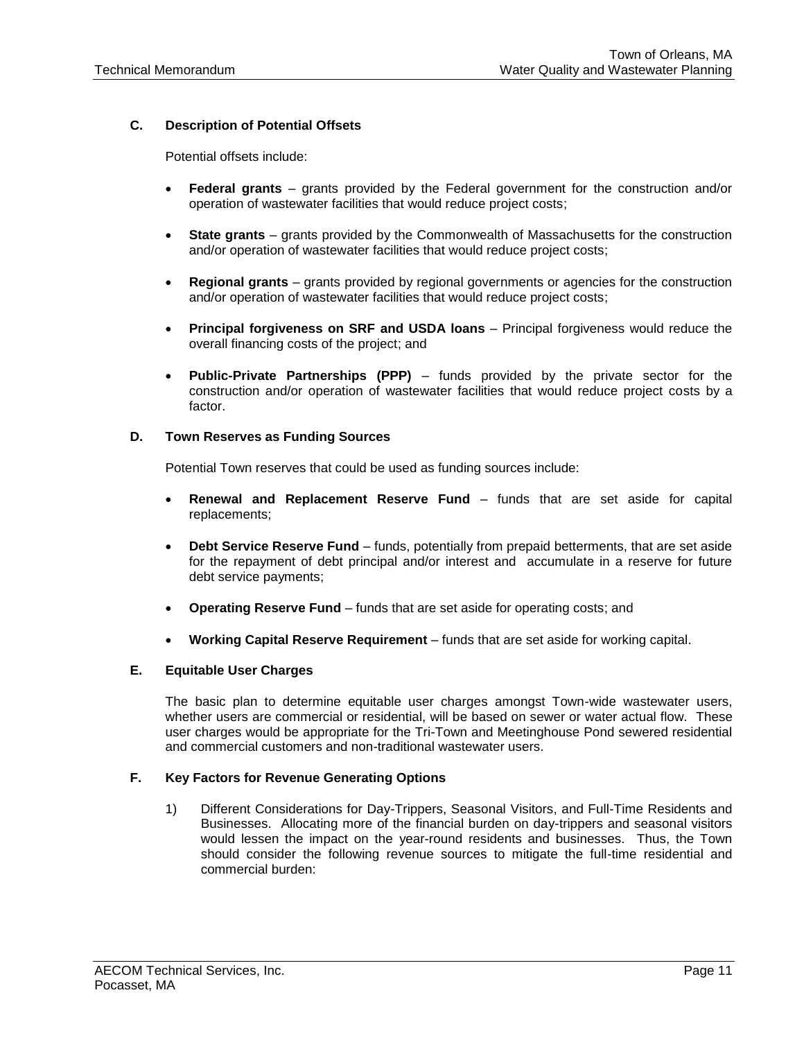# **C. Description of Potential Offsets**

Potential offsets include:

- **Federal grants** grants provided by the Federal government for the construction and/or operation of wastewater facilities that would reduce project costs;
- **State grants** grants provided by the Commonwealth of Massachusetts for the construction and/or operation of wastewater facilities that would reduce project costs;
- **Regional grants** grants provided by regional governments or agencies for the construction and/or operation of wastewater facilities that would reduce project costs;
- **Principal forgiveness on SRF and USDA loans** Principal forgiveness would reduce the overall financing costs of the project; and
- **Public-Private Partnerships (PPP)** funds provided by the private sector for the construction and/or operation of wastewater facilities that would reduce project costs by a factor.

#### **D. Town Reserves as Funding Sources**

Potential Town reserves that could be used as funding sources include:

- **Renewal and Replacement Reserve Fund** funds that are set aside for capital replacements;
- **Debt Service Reserve Fund** funds, potentially from prepaid betterments, that are set aside for the repayment of debt principal and/or interest and accumulate in a reserve for future debt service payments;
- **Operating Reserve Fund** funds that are set aside for operating costs; and
- **Working Capital Reserve Requirement** funds that are set aside for working capital.

# **E. Equitable User Charges**

The basic plan to determine equitable user charges amongst Town-wide wastewater users, whether users are commercial or residential, will be based on sewer or water actual flow. These user charges would be appropriate for the Tri-Town and Meetinghouse Pond sewered residential and commercial customers and non-traditional wastewater users.

# **F. Key Factors for Revenue Generating Options**

1) Different Considerations for Day-Trippers, Seasonal Visitors, and Full-Time Residents and Businesses. Allocating more of the financial burden on day-trippers and seasonal visitors would lessen the impact on the year-round residents and businesses. Thus, the Town should consider the following revenue sources to mitigate the full-time residential and commercial burden: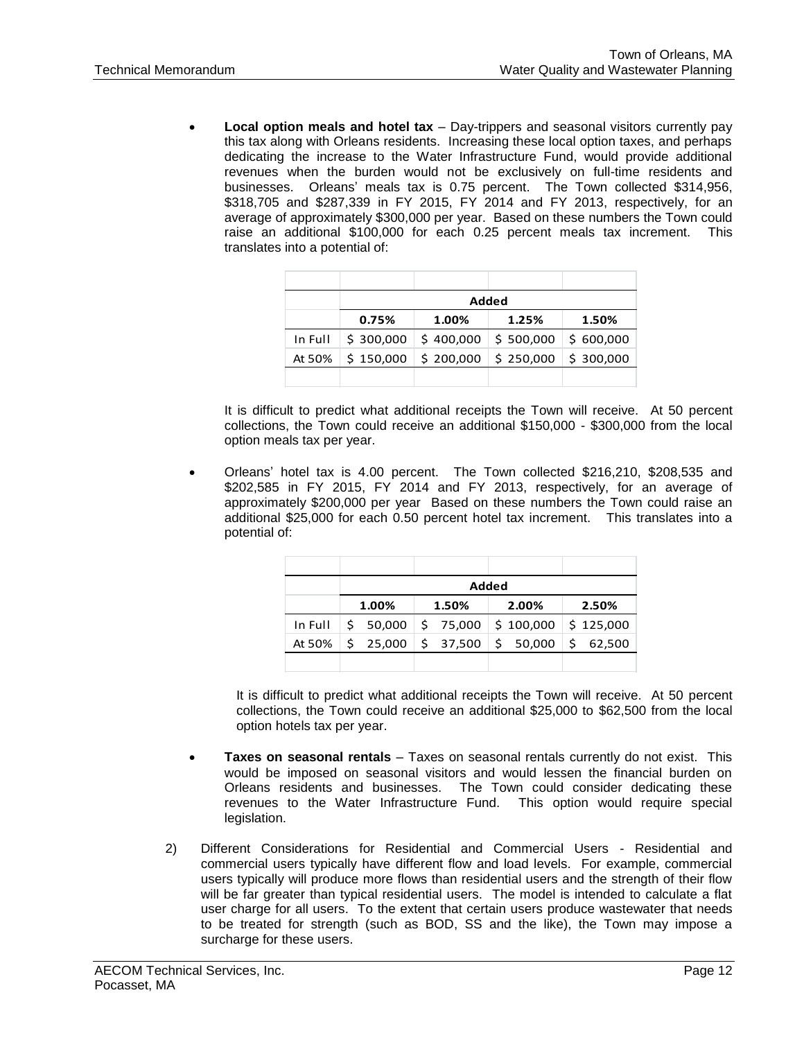**Local option meals and hotel tax** – Day-trippers and seasonal visitors currently pay this tax along with Orleans residents. Increasing these local option taxes, and perhaps dedicating the increase to the Water Infrastructure Fund, would provide additional revenues when the burden would not be exclusively on full-time residents and businesses. Orleans' meals tax is 0.75 percent. The Town collected \$314,956, \$318,705 and \$287,339 in FY 2015, FY 2014 and FY 2013, respectively, for an average of approximately \$300,000 per year. Based on these numbers the Town could raise an additional \$100,000 for each 0.25 percent meals tax increment. This translates into a potential of:

|         | Added     |           |           |           |  |
|---------|-----------|-----------|-----------|-----------|--|
|         | 0.75%     | 1.00%     | 1.25%     | 1.50%     |  |
| In Full | \$300,000 | \$400.000 | \$500,000 | \$600,000 |  |
| At 50%  | \$150,000 | \$200,000 | \$250,000 | \$300,000 |  |
|         |           |           |           |           |  |

It is difficult to predict what additional receipts the Town will receive. At 50 percent collections, the Town could receive an additional \$150,000 - \$300,000 from the local option meals tax per year.

 Orleans' hotel tax is 4.00 percent. The Town collected \$216,210, \$208,535 and \$202,585 in FY 2015, FY 2014 and FY 2013, respectively, for an average of approximately \$200,000 per year Based on these numbers the Town could raise an additional \$25,000 for each 0.50 percent hotel tax increment. This translates into a potential of:

|         | Added |          |  |          |  |                      |  |           |  |
|---------|-------|----------|--|----------|--|----------------------|--|-----------|--|
|         |       | 1.00%    |  | 1.50%    |  | 2.00%                |  | 2.50%     |  |
| In Full |       | \$50,000 |  | \$75,000 |  | \$100,000            |  | \$125,000 |  |
| At 50%  |       | \$25,000 |  | \$37,500 |  | $\frac{1}{2}$ 50,000 |  | \$62,500  |  |
|         |       |          |  |          |  |                      |  |           |  |

It is difficult to predict what additional receipts the Town will receive. At 50 percent collections, the Town could receive an additional \$25,000 to \$62,500 from the local option hotels tax per year.

- **Taxes on seasonal rentals**  Taxes on seasonal rentals currently do not exist. This would be imposed on seasonal visitors and would lessen the financial burden on Orleans residents and businesses. The Town could consider dedicating these revenues to the Water Infrastructure Fund. This option would require special legislation.
- 2) Different Considerations for Residential and Commercial Users Residential and commercial users typically have different flow and load levels. For example, commercial users typically will produce more flows than residential users and the strength of their flow will be far greater than typical residential users. The model is intended to calculate a flat user charge for all users. To the extent that certain users produce wastewater that needs to be treated for strength (such as BOD, SS and the like), the Town may impose a surcharge for these users.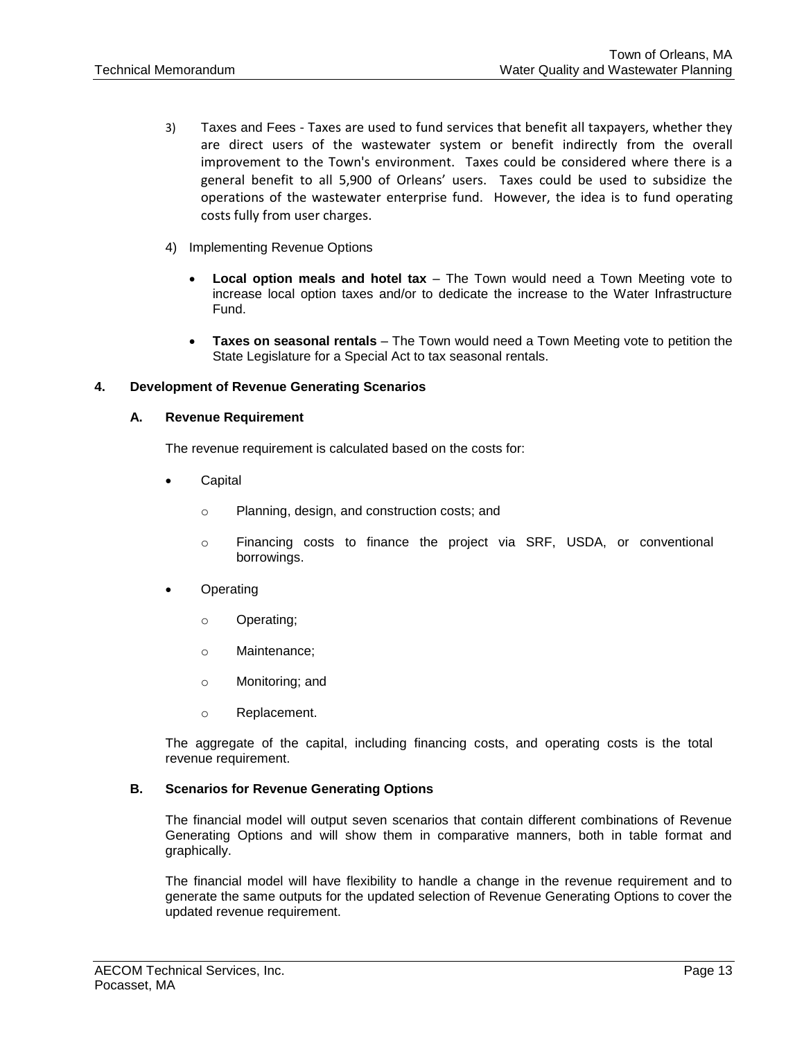- 3) Taxes and Fees Taxes are used to fund services that benefit all taxpayers, whether they are direct users of the wastewater system or benefit indirectly from the overall improvement to the Town's environment. Taxes could be considered where there is a general benefit to all 5,900 of Orleans' users. Taxes could be used to subsidize the operations of the wastewater enterprise fund. However, the idea is to fund operating costs fully from user charges.
- 4) Implementing Revenue Options
	- **Local option meals and hotel tax** The Town would need a Town Meeting vote to increase local option taxes and/or to dedicate the increase to the Water Infrastructure Fund.
	- **Taxes on seasonal rentals**  The Town would need a Town Meeting vote to petition the State Legislature for a Special Act to tax seasonal rentals.

# **4. Development of Revenue Generating Scenarios**

#### **A. Revenue Requirement**

The revenue requirement is calculated based on the costs for:

- **Capital** 
	- o Planning, design, and construction costs; and
	- o Financing costs to finance the project via SRF, USDA, or conventional borrowings.
- **Operating** 
	- o Operating;
	- o Maintenance;
	- o Monitoring; and
	- o Replacement.

The aggregate of the capital, including financing costs, and operating costs is the total revenue requirement.

# **B. Scenarios for Revenue Generating Options**

The financial model will output seven scenarios that contain different combinations of Revenue Generating Options and will show them in comparative manners, both in table format and graphically.

The financial model will have flexibility to handle a change in the revenue requirement and to generate the same outputs for the updated selection of Revenue Generating Options to cover the updated revenue requirement.